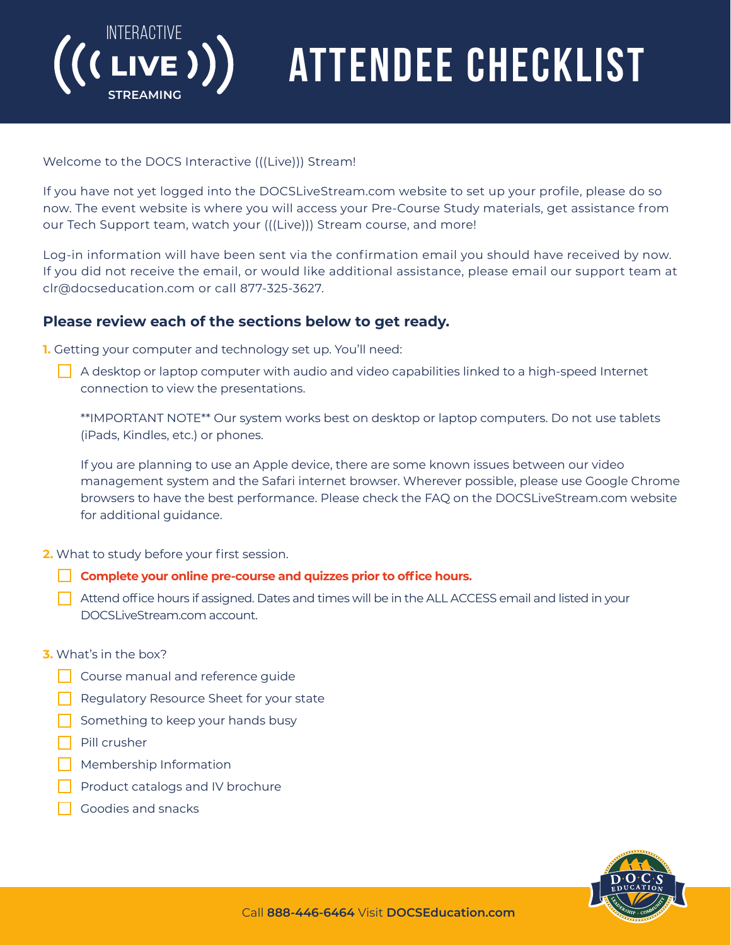

# ATTENDEE CHECKLIST

### Welcome to the DOCS Interactive (((Live))) Stream!

If you have not yet logged into the DOCSLiveStream.com website to set up your profile, please do so now. The event website is where you will access your Pre-Course Study materials, get assistance from our Tech Support team, watch your (((Live))) Stream course, and more!

Log-in information will have been sent via the confirmation email you should have received by now. If you did not receive the email, or would like additional assistance, please email our support team at clr@docseducation.com or call 877-325-3627.

### **Please review each of the sections below to get ready.**

**1.** Getting your computer and technology set up. You'll need:

 $\Box$  A desktop or laptop computer with audio and video capabilities linked to a high-speed Internet connection to view the presentations.

\*\*IMPORTANT NOTE\*\* Our system works best on desktop or laptop computers. Do not use tablets (iPads, Kindles, etc.) or phones.

If you are planning to use an Apple device, there are some known issues between our video management system and the Safari internet browser. Wherever possible, please use Google Chrome browsers to have the best performance. Please check the FAQ on the DOCSLiveStream.com website for additional guidance.

**2.** What to study before your first session.

- **Complete your online pre-course and quizzes prior to office hours.**
- $\Box$  Attend office hours if assigned. Dates and times will be in the ALL ACCESS email and listed in your DOCSLiveStream.com account.
- **3.** What's in the box?
	- **Course manual and reference guide**
	- Regulatory Resource Sheet for your state
	- Something to keep your hands busy
	- Pill crusher
	- Membership Information
	- Product catalogs and IV brochure
	- Goodies and snacks